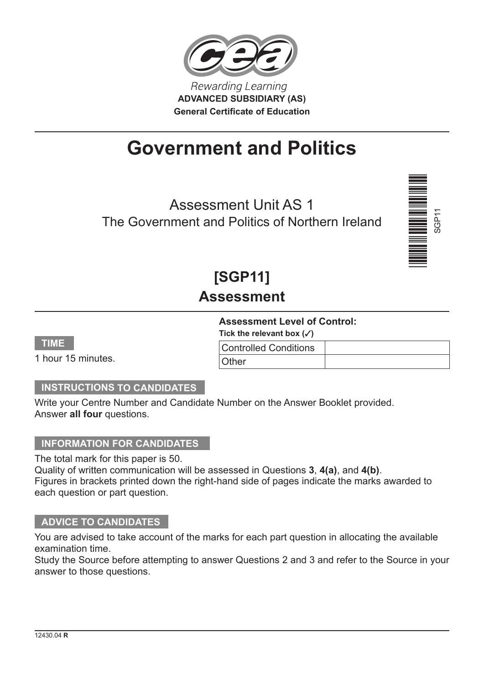

# **Government and Politics**

Assessment Unit AS 1 The Government and Politics of Northern Ireland



## **[SGP11] Assessment**

**Other** 

#### **Assessment Level of Control:**

Tick the relevant box  $(\checkmark)$ Controlled Conditions

| ٠<br>- |                                  |     |
|--------|----------------------------------|-----|
|        |                                  | --  |
| -<br>ـ | . .<br>. .<br>. .<br>-<br>_<br>ー | ___ |

1 hour 15 minutes.

#### **INSTRUCTIONS TO CANDIDATES**

Write your Centre Number and Candidate Number on the Answer Booklet provided. Answer **all four** questions.

#### **INFORMATION FOR CANDIDATES**

The total mark for this paper is 50.

Quality of written communication will be assessed in Questions **3**, **4(a)**, and **4(b)**. Figures in brackets printed down the right-hand side of pages indicate the marks awarded to each question or part question.

#### **ADVICE TO CANDIDATES**

You are advised to take account of the marks for each part question in allocating the available examination time.

Study the Source before attempting to answer Questions 2 and 3 and refer to the Source in your answer to those questions.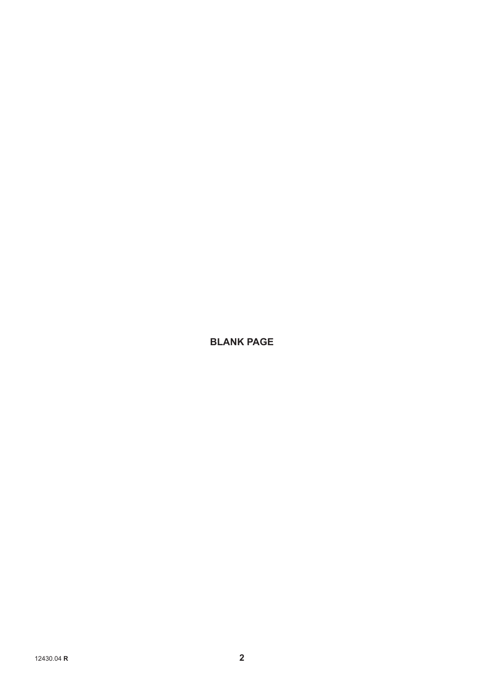**BLANK PAGE**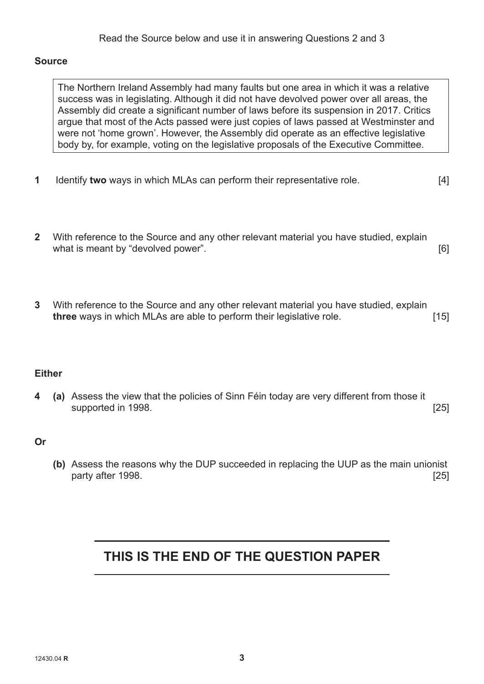#### **Source**

The Northern Ireland Assembly had many faults but one area in which it was a relative success was in legislating. Although it did not have devolved power over all areas, the Assembly did create a significant number of laws before its suspension in 2017. Critics argue that most of the Acts passed were just copies of laws passed at Westminster and were not 'home grown'. However, the Assembly did operate as an effective legislative body by, for example, voting on the legislative proposals of the Executive Committee.

- **1** Identify **two** ways in which MLAs can perform their representative role. [4]
- **2** With reference to the Source and any other relevant material you have studied, explain what is meant by "devolved power".
- **3** With reference to the Source and any other relevant material you have studied, explain **three** ways in which MLAs are able to perform their legislative role. [15]

#### **Either**

**4 (a)** Assess the view that the policies of Sinn Féin today are very different from those it supported in 1998.

#### **Or**

**(b)** Assess the reasons why the DUP succeeded in replacing the UUP as the main unionist party after 1998. [25] party after 1998.

### **THIS IS THE END OF THE QUESTION PAPER**